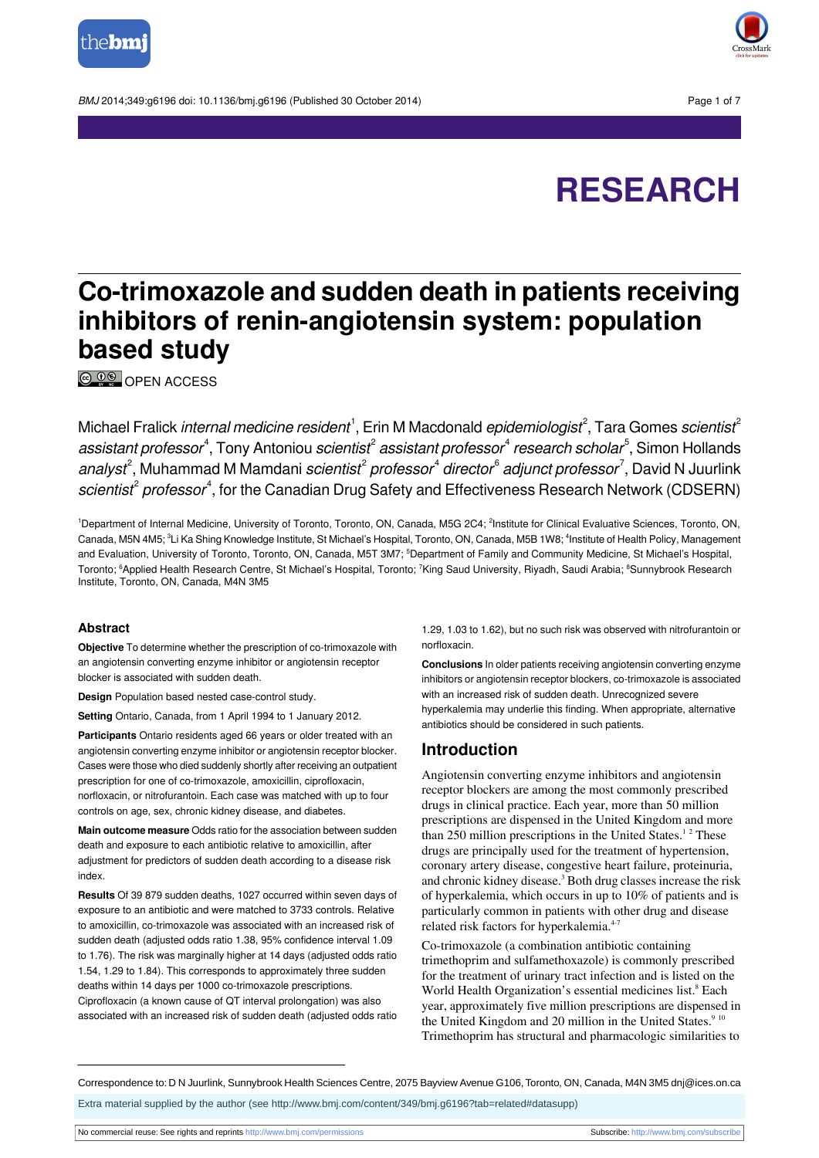

BMJ 2014:349:a6196 doi: 10.1136/bmi.a6196 (Published 30 October 2014) Page 1 of 7



# **RESEARCH**

# **Co-trimoxazole and sudden death in patients receiving inhibitors of renin-angiotensin system: population based study**

**C**  $\frac{1}{2}$  OPEN [ACCESS](http://creativecommons.org/licenses/by-nc/3.0/)

Michael Fralick *internal medicine resident*  $^{\rm l}$ , Erin M Macdonald *epidemiologist* $^{\rm 2}$ *,* Tara Gomes *scientist* $^{\rm 2}$ assistant professor<sup>4</sup>, Tony Antoniou scientist<sup>2</sup> assistant professor<sup>4</sup> research scholar<sup>5</sup>, Simon Hollands analyst<sup>2</sup>, Muhammad M Mamdani *scientist<sup>2</sup> professor<sup>4</sup> director<sup>6</sup> adjunct professor<sup>7</sup>, David N Juurlink* scientist<sup>2</sup> professor<sup>4</sup>, for the Canadian Drug Safety and Effectiveness Research Network (CDSERN)

<sup>1</sup>Department of Internal Medicine, University of Toronto, Toronto, ON, Canada, M5G 2C4; <sup>2</sup>Institute for Clinical Evaluative Sciences, Toronto, ON, Canada, M5N 4M5;  $^3$ Li Ka Shing Knowledge Institute, St Michael's Hospital, Toronto, ON, Canada, M5B 1W8;  $^4$ Institute of Health Policy, Management and Evaluation, University of Toronto, Toronto, ON, Canada, M5T 3M7; <sup>5</sup>Department of Family and Community Medicine, St Michael's Hospital, Toronto; <sup>6</sup>Applied Health Research Centre, St Michael's Hospital, Toronto; <sup>7</sup>King Saud University, Riyadh, Saudi Arabia; <sup>8</sup>Sunnybrook Research Institute, Toronto, ON, Canada, M4N 3M5

#### **Abstract**

**Objective** To determine whether the prescription of co-trimoxazole with an angiotensin converting enzyme inhibitor or angiotensin receptor blocker is associated with sudden death.

**Design** Population based nested case-control study.

**Setting** Ontario, Canada, from 1 April 1994 to 1 January 2012.

**Participants** Ontario residents aged 66 years or older treated with an angiotensin converting enzyme inhibitor or angiotensin receptor blocker. Cases were those who died suddenly shortly after receiving an outpatient prescription for one of co-trimoxazole, amoxicillin, ciprofloxacin, norfloxacin, or nitrofurantoin. Each case was matched with up to four controls on age, sex, chronic kidney disease, and diabetes.

**Main outcome measure** Odds ratio for the association between sudden death and exposure to each antibiotic relative to amoxicillin, after adjustment for predictors of sudden death according to a disease risk index.

**Results** Of 39 879 sudden deaths, 1027 occurred within seven days of exposure to an antibiotic and were matched to 3733 controls. Relative to amoxicillin, co-trimoxazole was associated with an increased risk of sudden death (adjusted odds ratio 1.38, 95% confidence interval 1.09 to 1.76). The risk was marginally higher at 14 days (adjusted odds ratio 1.54, 1.29 to 1.84). This corresponds to approximately three sudden deaths within 14 days per 1000 co-trimoxazole prescriptions. Ciprofloxacin (a known cause of QT interval prolongation) was also associated with an increased risk of sudden death (adjusted odds ratio

1.29, 1.03 to 1.62), but no such risk was observed with nitrofurantoin or norfloxacin.

**Conclusions** In older patients receiving angiotensin converting enzyme inhibitors or angiotensin receptor blockers, co-trimoxazole is associated with an increased risk of sudden death. Unrecognized severe hyperkalemia may underlie this finding. When appropriate, alternative antibiotics should be considered in such patients.

# **Introduction**

Angiotensin converting enzyme inhibitors and angiotensin receptor blockers are among the most commonly prescribed drugs in clinical practice. Each year, more than 50 million prescriptions are dispensed in the United Kingdom and more than 250 million prescriptions in the United States.<sup>12</sup> These drugs are principally used for the treatment of hypertension, coronary artery disease, congestive heart failure, proteinuria, and chronic kidney disease.<sup>3</sup> Both drug classes increase the risk of hyperkalemia, which occurs in up to 10% of patients and is particularly common in patients with other drug and disease related risk factors for hyperkalemia.<sup>4-7</sup>

Co-trimoxazole (a combination antibiotic containing trimethoprim and sulfamethoxazole) is commonly prescribed for the treatment of urinary tract infection and is listed on the World Health Organization's essential medicines list.<sup>8</sup> Each year, approximately five million prescriptions are dispensed in the United Kingdom and 20 million in the United States. $9^{10}$ Trimethoprim has structural and pharmacologic similarities to

Correspondence to: D N Juurlink, Sunnybrook Health Sciences Centre, 2075 Bayview Avenue G106, Toronto, ON, Canada, M4N 3M5 dnj@ices.on.ca

Extra material supplied by the author (see [http://www.bmj.com/content/349/bmj.g6196?tab=related#datasupp\)](http://www.bmj.com/content/349/bmj.g6196?tab=related#datasupp)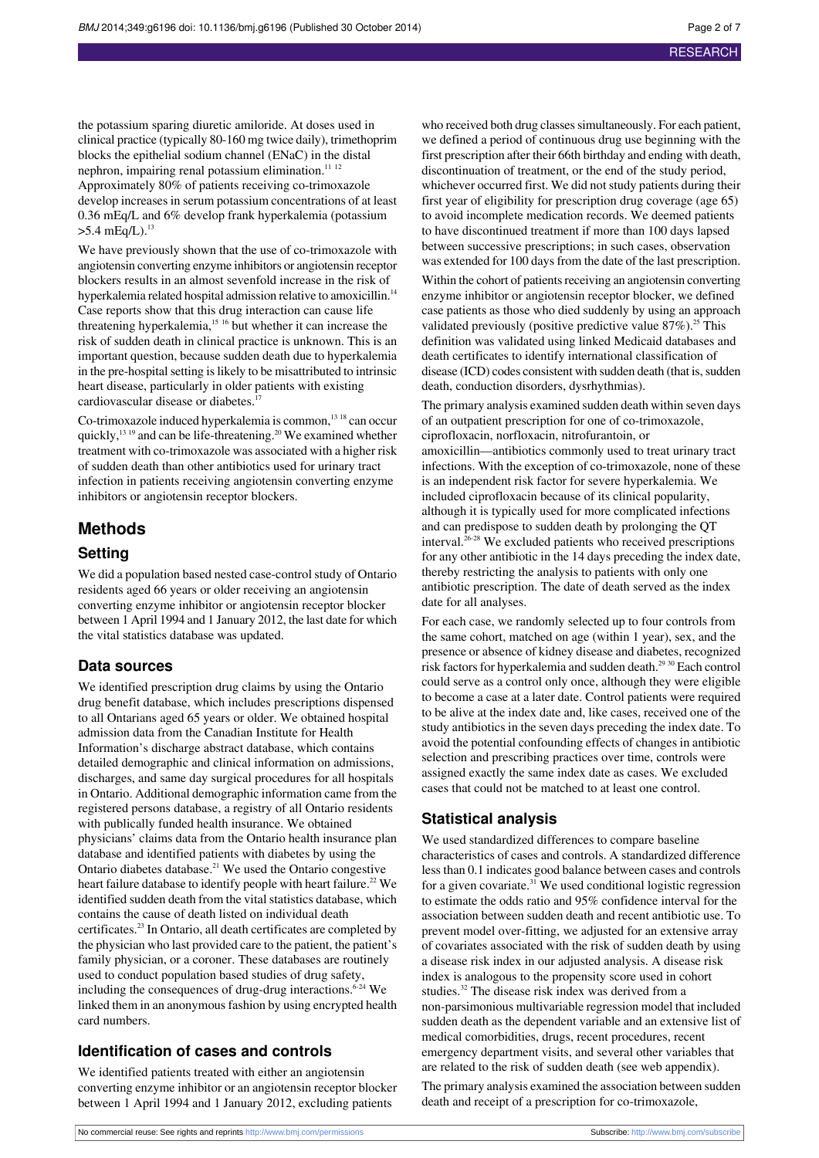the potassium sparing diuretic amiloride. At doses used in clinical practice (typically 80-160 mg twice daily), trimethoprim blocks the epithelial sodium channel (ENaC) in the distal nephron, impairing renal potassium elimination. $11$   $12$ Approximately 80% of patients receiving co-trimoxazole develop increases in serum potassium concentrations of at least 0.36 mEq/L and 6% develop frank hyperkalemia (potassium  $>5.4$  mEq/L).<sup>13</sup>

We have previously shown that the use of co-trimoxazole with angiotensin converting enzyme inhibitors or angiotensin receptor blockers results in an almost sevenfold increase in the risk of hyperkalemia related hospital admission relative to amoxicillin.<sup>14</sup> Case reports show that this drug interaction can cause life threatening hyperkalemia,<sup>15</sup> <sup>16</sup> but whether it can increase the risk of sudden death in clinical practice is unknown. This is an important question, because sudden death due to hyperkalemia in the pre-hospital setting is likely to be misattributed to intrinsic heart disease, particularly in older patients with existing cardiovascular disease or diabetes.<sup>1</sup>

Co-trimoxazole induced hyperkalemia is common,<sup>13 18</sup> can occur quickly, $^{13}$  <sup>19</sup> and can be life-threatening.<sup>20</sup> We examined whether treatment with co-trimoxazole was associated with a higher risk of sudden death than other antibiotics used for urinary tract infection in patients receiving angiotensin converting enzyme inhibitors or angiotensin receptor blockers.

# **Methods Setting**

We did a population based nested case-control study of Ontario residents aged 66 years or older receiving an angiotensin converting enzyme inhibitor or angiotensin receptor blocker between 1 April 1994 and 1 January 2012, the last date for which the vital statistics database was updated.

#### **Data sources**

We identified prescription drug claims by using the Ontario drug benefit database, which includes prescriptions dispensed to all Ontarians aged 65 years or older. We obtained hospital admission data from the Canadian Institute for Health Information's discharge abstract database, which contains detailed demographic and clinical information on admissions, discharges, and same day surgical procedures for all hospitals in Ontario. Additional demographic information came from the registered persons database, a registry of all Ontario residents with publically funded health insurance. We obtained physicians' claims data from the Ontario health insurance plan database and identified patients with diabetes by using the Ontario diabetes database.<sup>21</sup> We used the Ontario congestive heart failure database to identify people with heart failure.<sup>22</sup> We identified sudden death from the vital statistics database, which contains the cause of death listed on individual death certificates.<sup>23</sup> In Ontario, all death certificates are completed by the physician who last provided care to the patient, the patient's family physician, or a coroner. These databases are routinely used to conduct population based studies of drug safety, including the consequences of drug-drug interactions. $6-24$  We linked them in an anonymous fashion by using encrypted health card numbers.

# **Identification of cases and controls**

We identified patients treated with either an angiotensin converting enzyme inhibitor or an angiotensin receptor blocker between 1 April 1994 and 1 January 2012, excluding patients

who received both drug classes simultaneously. For each patient, we defined a period of continuous drug use beginning with the first prescription after their 66th birthday and ending with death, discontinuation of treatment, or the end of the study period, whichever occurred first. We did not study patients during their first year of eligibility for prescription drug coverage (age 65) to avoid incomplete medication records. We deemed patients to have discontinued treatment if more than 100 days lapsed between successive prescriptions; in such cases, observation was extended for 100 days from the date of the last prescription.

Within the cohort of patients receiving an angiotensin converting enzyme inhibitor or angiotensin receptor blocker, we defined case patients as those who died suddenly by using an approach validated previously (positive predictive value  $87\%$ ).<sup>25</sup> This definition was validated using linked Medicaid databases and death certificates to identify international classification of disease (ICD) codes consistent with sudden death (that is, sudden death, conduction disorders, dysrhythmias).

The primary analysis examined sudden death within seven days of an outpatient prescription for one of co-trimoxazole, ciprofloxacin, norfloxacin, nitrofurantoin, or amoxicillin—antibiotics commonly used to treat urinary tract infections. With the exception of co-trimoxazole, none of these is an independent risk factor for severe hyperkalemia. We included ciprofloxacin because of its clinical popularity, although it is typically used for more complicated infections and can predispose to sudden death by prolonging the QT interval. $26-28$  We excluded patients who received prescriptions for any other antibiotic in the 14 days preceding the index date, thereby restricting the analysis to patients with only one antibiotic prescription. The date of death served as the index date for all analyses.

For each case, we randomly selected up to four controls from the same cohort, matched on age (within 1 year), sex, and the presence or absence of kidney disease and diabetes, recognized risk factors for hyperkalemia and sudden death.<sup>29 30</sup> Each control could serve as a control only once, although they were eligible to become a case at a later date. Control patients were required to be alive at the index date and, like cases, received one of the study antibiotics in the seven days preceding the index date. To avoid the potential confounding effects of changes in antibiotic selection and prescribing practices over time, controls were assigned exactly the same index date as cases. We excluded cases that could not be matched to at least one control.

# **Statistical analysis**

We used standardized differences to compare baseline characteristics of cases and controls. A standardized difference less than 0.1 indicates good balance between cases and controls for a given covariate. $31$  We used conditional logistic regression to estimate the odds ratio and 95% confidence interval for the association between sudden death and recent antibiotic use. To prevent model over-fitting, we adjusted for an extensive array of covariates associated with the risk of sudden death by using a disease risk index in our adjusted analysis. A disease risk index is analogous to the propensity score used in cohort studies.<sup>32</sup> The disease risk index was derived from a non-parsimonious multivariable regression model that included sudden death as the dependent variable and an extensive list of medical comorbidities, drugs, recent procedures, recent emergency department visits, and several other variables that are related to the risk of sudden death (see web appendix).

The primary analysis examined the association between sudden death and receipt of a prescription for co-trimoxazole,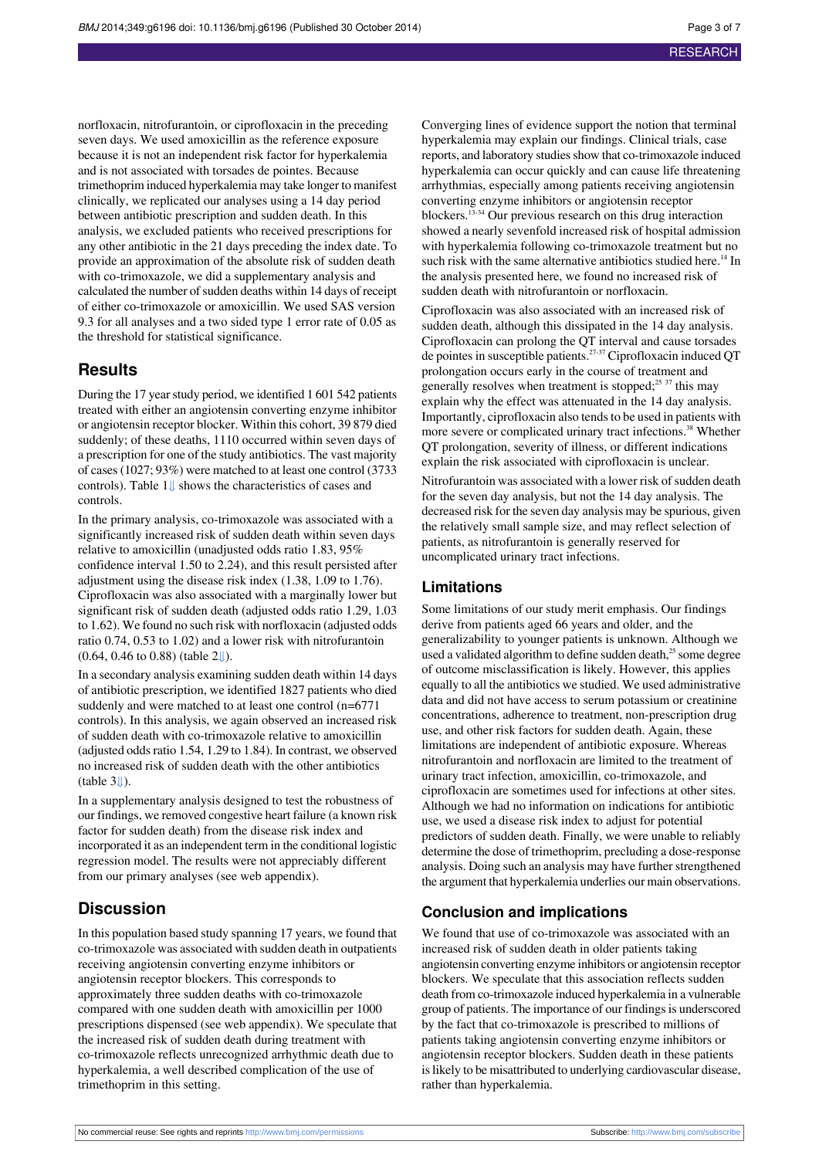norfloxacin, nitrofurantoin, or ciprofloxacin in the preceding seven days. We used amoxicillin as the reference exposure because it is not an independent risk factor for hyperkalemia and is not associated with torsades de pointes. Because trimethoprim induced hyperkalemia may take longer to manifest clinically, we replicated our analyses using a 14 day period between antibiotic prescription and sudden death. In this analysis, we excluded patients who received prescriptions for any other antibiotic in the 21 days preceding the index date. To provide an approximation of the absolute risk of sudden death with co-trimoxazole, we did a supplementary analysis and calculated the number of sudden deaths within 14 days of receipt of either co-trimoxazole or amoxicillin. We used SAS version 9.3 for all analyses and a two sided type 1 error rate of 0.05 as the threshold for statistical significance.

# **Results**

During the 17 year study period, we identified 1 601 542 patients treated with either an angiotensin converting enzyme inhibitor or angiotensin receptor blocker. Within this cohort, 39 879 died suddenly; of these deaths, 1110 occurred within seven days of a prescription for one of the study antibiotics. The vast majority of cases(1027; 93%) were matched to at least one control (3733 controls). Table 1[⇓](#page-4-0) shows the characteristics of cases and controls.

In the primary analysis, co-trimoxazole was associated with a significantly increased risk of sudden death within seven days relative to amoxicillin (unadjusted odds ratio 1.83, 95% confidence interval 1.50 to 2.24), and this result persisted after adjustment using the disease risk index (1.38, 1.09 to 1.76). Ciprofloxacin was also associated with a marginally lower but significant risk of sudden death (adjusted odds ratio 1.29, 1.03 to 1.62). We found no such risk with norfloxacin (adjusted odds ratio 0.74, 0.53 to 1.02) and a lower risk with nitrofurantoin (0.64, 0.46 to 0.88) (table 2[⇓\)](#page-5-0).

In a secondary analysis examining sudden death within 14 days of antibiotic prescription, we identified 1827 patients who died suddenly and were matched to at least one control (n=6771 controls). In this analysis, we again observed an increased risk of sudden death with co-trimoxazole relative to amoxicillin (adjusted oddsratio 1.54, 1.29 to 1.84). In contrast, we observed no increased risk of sudden death with the other antibiotics  $(table 3<sub>\downarrow</sub>)$ .

In a supplementary analysis designed to test the robustness of our findings, we removed congestive heart failure (a known risk factor for sudden death) from the disease risk index and incorporated it as an independent term in the conditional logistic regression model. The results were not appreciably different from our primary analyses (see web appendix).

# **Discussion**

In this population based study spanning 17 years, we found that co-trimoxazole was associated with sudden death in outpatients receiving angiotensin converting enzyme inhibitors or angiotensin receptor blockers. This corresponds to approximately three sudden deaths with co-trimoxazole compared with one sudden death with amoxicillin per 1000 prescriptions dispensed (see web appendix). We speculate that the increased risk of sudden death during treatment with co-trimoxazole reflects unrecognized arrhythmic death due to hyperkalemia, a well described complication of the use of trimethoprim in this setting.

Converging lines of evidence support the notion that terminal hyperkalemia may explain our findings. Clinical trials, case reports, and laboratory studies show that co-trimoxazole induced hyperkalemia can occur quickly and can cause life threatening arrhythmias, especially among patients receiving angiotensin converting enzyme inhibitors or angiotensin receptor blockers.13-34 Our previous research on this drug interaction showed a nearly sevenfold increased risk of hospital admission with hyperkalemia following co-trimoxazole treatment but no such risk with the same alternative antibiotics studied here.<sup>14</sup> In the analysis presented here, we found no increased risk of sudden death with nitrofurantoin or norfloxacin.

Ciprofloxacin was also associated with an increased risk of sudden death, although this dissipated in the 14 day analysis. Ciprofloxacin can prolong the QT interval and cause torsades de pointes in susceptible patients.<sup>27-37</sup> Ciprofloxacin induced QT prolongation occurs early in the course of treatment and generally resolves when treatment is stopped; $25\frac{37}{37}$  this may explain why the effect was attenuated in the 14 day analysis. Importantly, ciprofloxacin also tends to be used in patients with more severe or complicated urinary tract infections.<sup>38</sup> Whether QT prolongation, severity of illness, or different indications explain the risk associated with ciprofloxacin is unclear.

Nitrofurantoin was associated with a lower risk of sudden death for the seven day analysis, but not the 14 day analysis. The decreased risk for the seven day analysis may be spurious, given the relatively small sample size, and may reflect selection of patients, as nitrofurantoin is generally reserved for uncomplicated urinary tract infections.

#### **Limitations**

Some limitations of our study merit emphasis. Our findings derive from patients aged 66 years and older, and the generalizability to younger patients is unknown. Although we used a validated algorithm to define sudden death, $^{25}$  some degree of outcome misclassification is likely. However, this applies equally to all the antibiotics we studied. We used administrative data and did not have access to serum potassium or creatinine concentrations, adherence to treatment, non-prescription drug use, and other risk factors for sudden death. Again, these limitations are independent of antibiotic exposure. Whereas nitrofurantoin and norfloxacin are limited to the treatment of urinary tract infection, amoxicillin, co-trimoxazole, and ciprofloxacin are sometimes used for infections at other sites. Although we had no information on indications for antibiotic use, we used a disease risk index to adjust for potential predictors of sudden death. Finally, we were unable to reliably determine the dose of trimethoprim, precluding a dose-response analysis. Doing such an analysis may have further strengthened the argument that hyperkalemia underlies our main observations.

#### **Conclusion and implications**

We found that use of co-trimoxazole was associated with an increased risk of sudden death in older patients taking angiotensin converting enzyme inhibitors or angiotensin receptor blockers. We speculate that this association reflects sudden death from co-trimoxazole induced hyperkalemia in a vulnerable group of patients. The importance of our findings is underscored by the fact that co-trimoxazole is prescribed to millions of patients taking angiotensin converting enzyme inhibitors or angiotensin receptor blockers. Sudden death in these patients is likely to be misattributed to underlying cardiovascular disease, rather than hyperkalemia.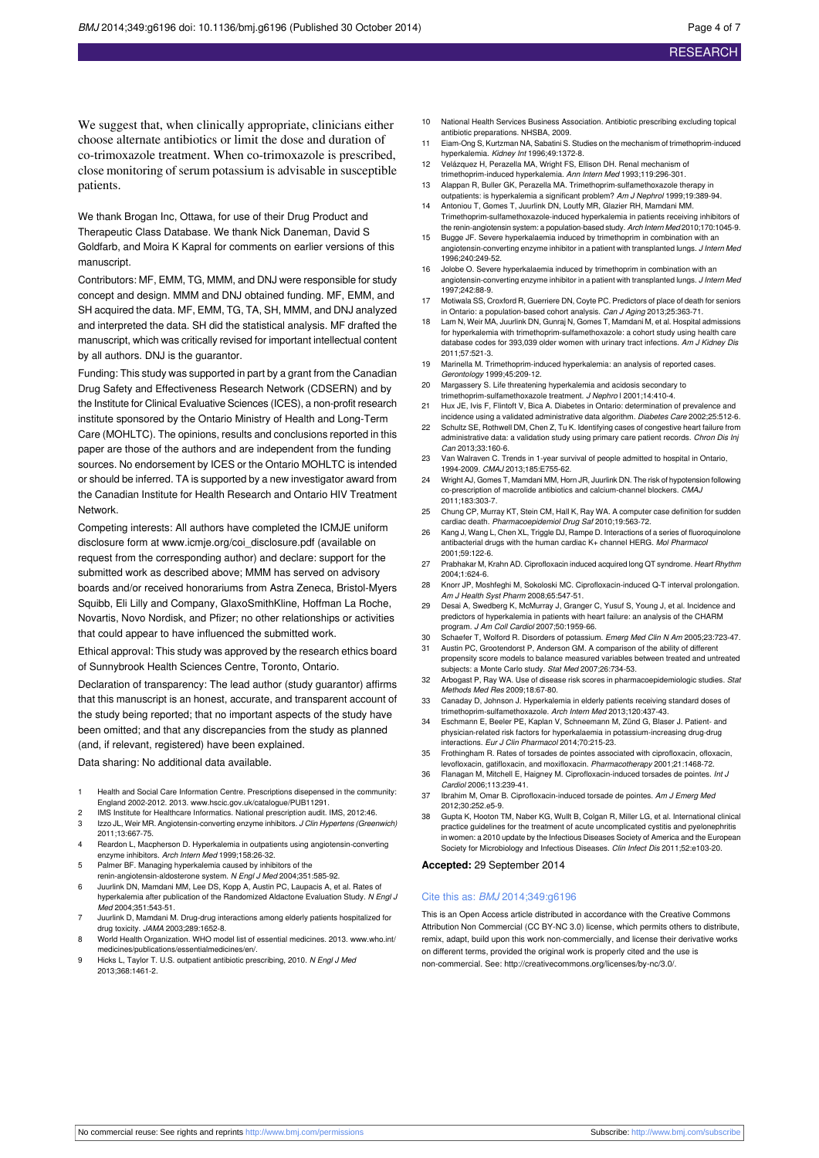We suggest that, when clinically appropriate, clinicians either choose alternate antibiotics or limit the dose and duration of co-trimoxazole treatment. When co-trimoxazole is prescribed, close monitoring of serum potassium is advisable in susceptible patients.

We thank Brogan Inc, Ottawa, for use of their Drug Product and Therapeutic Class Database. We thank Nick Daneman, David S Goldfarb, and Moira K Kapral for comments on earlier versions of this manuscript.

Contributors: MF, EMM, TG, MMM, and DNJ were responsible for study concept and design. MMM and DNJ obtained funding. MF, EMM, and SH acquired the data. MF, EMM, TG, TA, SH, MMM, and DNJ analyzed and interpreted the data. SH did the statistical analysis. MF drafted the manuscript, which was critically revised for important intellectual content by all authors. DNJ is the guarantor.

Funding: This study was supported in part by a grant from the Canadian Drug Safety and Effectiveness Research Network (CDSERN) and by the Institute for Clinical Evaluative Sciences (ICES), a non-profit research institute sponsored by the Ontario Ministry of Health and Long-Term Care (MOHLTC). The opinions, results and conclusions reported in this paper are those of the authors and are independent from the funding sources. No endorsement by ICES or the Ontario MOHLTC is intended or should be inferred. TA is supported by a new investigator award from the Canadian Institute for Health Research and Ontario HIV Treatment Network.

Competing interests: All authors have completed the ICMJE uniform disclosure form at [www.icmje.org/coi\\_disclosure.pdf](http://www.icmje.org/coi_disclosure.pdf) (available on request from the corresponding author) and declare: support for the submitted work as described above; MMM has served on advisory boards and/or received honorariums from Astra Zeneca, Bristol-Myers Squibb, Eli Lilly and Company, GlaxoSmithKline, Hoffman La Roche, Novartis, Novo Nordisk, and Pfizer; no other relationships or activities that could appear to have influenced the submitted work.

Ethical approval: This study was approved by the research ethics board of Sunnybrook Health Sciences Centre, Toronto, Ontario.

Declaration of transparency: The lead author (study guarantor) affirms that this manuscript is an honest, accurate, and transparent account of the study being reported; that no important aspects of the study have been omitted; and that any discrepancies from the study as planned (and, if relevant, registered) have been explained.

Data sharing: No additional data available.

- 1 Health and Social Care Information Centre. Prescriptions disepensed in the community: England 2002-2012. 2013. [www.hscic.gov.uk/catalogue/PUB11291](http://www.hscic.gov.uk/catalogue/PUB11291).
- 2 IMS Institute for Healthcare Informatics. National prescription audit. IMS, 2012:46. 3 Izzo JL, Weir MR. Angiotensin-converting enzyme inhibitors. J Clin Hypertens (Greenwich)
- 2011;13:667-75.
- 4 Reardon L, Macpherson D. Hyperkalemia in outpatients using angiotensin-converting enzyme inhibitors. Arch Intern Med 1999;158:26-32. 5 Palmer BF. Managing hyperkalemia caused by inhibitors of the
- renin-angiotensin-aldosterone system. N Engl J Med 2004;351:585-92.
- 6 Juurlink DN, Mamdani MM, Lee DS, Kopp A, Austin PC, Laupacis A, et al. Rates of hyperkalemia after publication of the Randomized Aldactone Evaluation Study. N Engl J Med 2004;351:543-51.
- Juurlink D, Mamdani M. Drug-drug interactions among elderly patients hospitalized for drug toxicity. JAMA 2003;289:1652-8.
- 8 World Health Organization. WHO model list of essential medicines. 2013. [www.who.int/](http://www.who.int/medicines/publications/essentialmedicines/en/) [medicines/publications/essentialmedicines/en/.](http://www.who.int/medicines/publications/essentialmedicines/en/)
- 9 Hicks L, Taylor T. U.S. outpatient antibiotic prescribing, 2010. N Engl J Med 2013;368:1461-2.
- 10 National Health Services Business Association. Antibiotic prescribing excluding topical antibiotic preparations. NHSBA, 2009.
- 11 Eiam-Ong S, Kurtzman NA, Sabatini S. Studies on the mechanism of trimethoprim-induced hyperkalemia. Kidney Int 1996;49:1372-8.
- 12 Velázquez H, Perazella MA, Wright FS, Ellison DH. Renal mechanism of trimethoprim-induced hyperkalemia. Ann Intern Med 1993;119:296-301.
- 13 Alappan R, Buller GK, Perazella MA. Trimethoprim-sulfamethoxazole therapy in
- outpatients: is hyperkalemia a significant problem? Am J Nephrol 1999;19:389-94. 14 Antoniou T, Gomes T, Juurlink DN, Loutfy MR, Glazier RH, Mamdani MM.
- Trimethoprim-sulfamethoxazole-induced hyperkalemia in patients receiving inhibitors of the renin-angiotensin system: a population-based study. Arch Intern Med 2010;170:1045-9. 15 Bugge JF. Severe hyperkalaemia induced by trimethoprim in combination with an
- angiotensin-converting enzyme inhibitor in a patient with transplanted lungs. J Intern Med 1996;240:249-52.
- Jolobe O. Severe hyperkalaemia induced by trimethoprim in combination with an angiotensin-converting enzyme inhibitor in a patient with transplanted lungs. J Intern Med 1997;242:88-9.
- 17 Motiwala SS, Croxford R, Guerriere DN, Coyte PC. Predictors of place of death for seniors in Ontario: a population-based cohort analysis. Can J Aging 2013;25:363-71.
- 18 Lam N, Weir MA, Juurlink DN, Gunraj N, Gomes T, Mamdani M, et al. Hospital admissions for hyperkalemia with trimethoprim-sulfamethoxazole: a cohort study using health care database codes for 393,039 older women with urinary tract infections. Am J Kidney Dis 2011;57:521-3.
- 19 Marinella M. Trimethoprim-induced hyperkalemia: an analysis of reported cases. Gerontology 1999;45:209-12.
- 20 Margassery S. Life threatening hyperkalemia and acidosis secondary to trimethoprim-sulfamethoxazole treatment. J Nephro l 2001;14:410-4.
- 21 Hux JE, Ivis F, Flintoft V, Bica A. Diabetes in Ontario: determination of prevalence and incidence using a validated administrative data algorithm. Diabetes Care 2002;25:512-6.
- 22 Schultz SE, Rothwell DM, Chen Z, Tu K. Identifying cases of congestive heart failure from administrative data: a validation study using primary care patient records. Chron Dis Inj Can 2013;33:160-6.
- Van Walraven C. Trends in 1-year survival of people admitted to hospital in Ontario, 1994-2009. CMAJ 2013;185:E755-62.
- 24 Wright AJ, Gomes T, Mamdani MM, Horn JR, Juurlink DN. The risk of hypotension following co-prescription of macrolide antibiotics and calcium-channel blockers. CMAJ 2011;183:303-7.
- 25 Chung CP, Murray KT, Stein CM, Hall K, Ray WA. A computer case definition for sudden cardiac death. Pharmacoepidemiol Drug Saf 2010;19:563-72.
- Kang J, Wang L, Chen XL, Triggle DJ, Rampe D. Interactions of a series of fluoroquinolone antibacterial drugs with the human cardiac K+ channel HERG. Mol Pharmacol 2001;59:122-6.
- 27 Prabhakar M, Krahn AD. Ciprofloxacin induced acquired long QT syndrome. Heart Rhythm 2004;1:624-6.
- 28 Knorr JP, Moshfeghi M, Sokoloski MC. Ciprofloxacin-induced Q-T interval prolongation. Am J Health Syst Pharm 2008;65:547-51.
- 29 Desai A, Swedberg K, McMurray J, Granger C, Yusuf S, Young J, et al. Incidence and predictors of hyperkalemia in patients with heart failure: an analysis of the CHARM program. J Am Coll Cardiol 2007;50:1959-66.
- 30 Schaefer T, Wolford R. Disorders of potassium. Emerg Med Clin N Am 2005;23:723-47. Austin PC, Grootendorst P, Anderson GM. A comparison of the ability of different propensity score models to balance measured variables between treated and untreated subjects: a Monte Carlo study. Stat Med 2007;26:734-53.
- 32 Arbogast P, Ray WA. Use of disease risk scores in pharmacoepidemiologic studies. Stat Methods Med Res 2009;18:67-80.
- 33 Canaday D, Johnson J. Hyperkalemia in elderly patients receiving standard doses of trimethoprim-sulfamethoxazole. Arch Intern Med 2013;120:437-43.
- Eschmann E, Beeler PE, Kaplan V, Schneemann M, Zünd G, Blaser J. Patient- and physician-related risk factors for hyperkalaemia in potassium-increasing drug-drug interactions. Eur J Clin Pharmacol 2014;70:215-23.
- 35 Frothingham R. Rates of torsades de pointes associated with ciprofloxacin, ofloxacin, levofloxacin, gatifloxacin, and moxifloxacin. Pharmacotherapy 2001;21:1468-72.
- 36 Flanagan M, Mitchell E, Haigney M. Ciprofloxacin-induced torsades de pointes. Int J Cardiol 2006;113:239-41.
- 37 Ibrahim M, Omar B. Ciprofloxacin-induced torsade de pointes. Am J Emerg Med 2012;30:252.e5-9.
- 38 Gupta K, Hooton TM, Naber KG, Wullt B, Colgan R, Miller LG, et al. International clinical practice guidelines for the treatment of acute uncomplicated cystitis and pyelonephritis in women: a 2010 update by the Infectious Diseases Society of America and the European Society for Microbiology and Infectious Diseases. Clin Infect Dis 2011;52:e103-20.

#### **Accepted:** 29 September 2014

#### Cite this as: **BMJ** 2014:349:q6196

This is an Open Access article distributed in accordance with the Creative Commons Attribution Non Commercial (CC BY-NC 3.0) license, which permits others to distribute, remix, adapt, build upon this work non-commercially, and license their derivative works on different terms, provided the original work is properly cited and the use is non-commercial. See: <http://creativecommons.org/licenses/by-nc/3.0/>.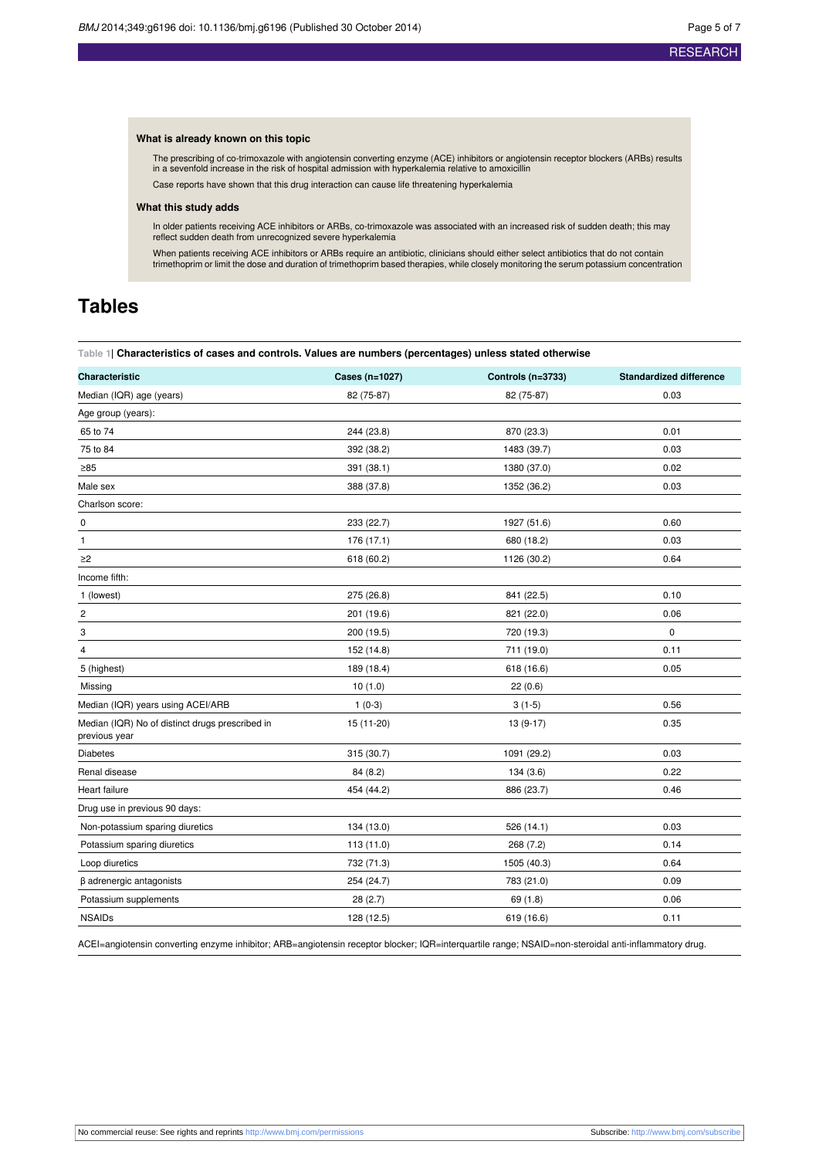#### **What is already known on this topic**

The prescribing of co-trimoxazole with angiotensin converting enzyme (ACE) inhibitors or angiotensin receptor blockers (ARBs) results in a sevenfold increase in the risk of hospital admission with hyperkalemia relative to amoxicillin Case reports have shown that this drug interaction can cause life threatening hyperkalemia

#### **What this study adds**

In older patients receiving ACE inhibitors or ARBs, co-trimoxazole was associated with an increased risk of sudden death; this may reflect sudden death from unrecognized severe hyperkalemia

When patients receiving ACE inhibitors or ARBs require an antibiotic, clinicians should either select antibiotics that do not contain trimethoprim or limit the dose and duration of trimethoprim based therapies, while closely monitoring the serum potassium concentration

# <span id="page-4-0"></span>**Tables**

#### **Table 1| Characteristics of cases and controls. Values are numbers (percentages) unless stated otherwise**

| Characteristic                                                   | Cases (n=1027) | Controls (n=3733) | <b>Standardized difference</b> |
|------------------------------------------------------------------|----------------|-------------------|--------------------------------|
| Median (IQR) age (years)                                         | 82 (75-87)     | 82 (75-87)        | 0.03                           |
| Age group (years):                                               |                |                   |                                |
| 65 to 74                                                         | 244 (23.8)     | 870 (23.3)        | 0.01                           |
| 75 to 84                                                         | 392 (38.2)     | 1483 (39.7)       | 0.03                           |
| $\geq 85$                                                        | 391 (38.1)     | 1380 (37.0)       | 0.02                           |
| Male sex                                                         | 388 (37.8)     | 1352 (36.2)       | 0.03                           |
| Charlson score:                                                  |                |                   |                                |
| $\pmb{0}$                                                        | 233 (22.7)     | 1927 (51.6)       | 0.60                           |
| 1                                                                | 176 (17.1)     | 680 (18.2)        | 0.03                           |
| $\geq$ 2                                                         | 618 (60.2)     | 1126 (30.2)       | 0.64                           |
| Income fifth:                                                    |                |                   |                                |
| 1 (lowest)                                                       | 275 (26.8)     | 841 (22.5)        | 0.10                           |
| 2                                                                | 201 (19.6)     | 821 (22.0)        | 0.06                           |
| 3                                                                | 200 (19.5)     | 720 (19.3)        | $\pmb{0}$                      |
| 4                                                                | 152 (14.8)     | 711 (19.0)        | 0.11                           |
| 5 (highest)                                                      | 189 (18.4)     | 618 (16.6)        | 0.05                           |
| Missing                                                          | 10(1.0)        | 22(0.6)           |                                |
| Median (IQR) years using ACEI/ARB                                | $1(0-3)$       | $3(1-5)$          | 0.56                           |
| Median (IQR) No of distinct drugs prescribed in<br>previous year | 15 (11-20)     | $13(9-17)$        | 0.35                           |
| <b>Diabetes</b>                                                  | 315 (30.7)     | 1091 (29.2)       | 0.03                           |
| Renal disease                                                    | 84 (8.2)       | 134(3.6)          | 0.22                           |
| Heart failure                                                    | 454 (44.2)     | 886 (23.7)        | 0.46                           |
| Drug use in previous 90 days:                                    |                |                   |                                |
| Non-potassium sparing diuretics                                  | 134 (13.0)     | 526 (14.1)        | 0.03                           |
| Potassium sparing diuretics                                      | 113(11.0)      | 268 (7.2)         | 0.14                           |
| Loop diuretics                                                   | 732 (71.3)     | 1505 (40.3)       | 0.64                           |
| $\beta$ adrenergic antagonists                                   | 254 (24.7)     | 783 (21.0)        | 0.09                           |
| Potassium supplements                                            | 28(2.7)        | 69 (1.8)          | 0.06                           |
| <b>NSAIDs</b>                                                    | 128 (12.5)     | 619 (16.6)        | 0.11                           |

ACEI=angiotensin converting enzyme inhibitor; ARB=angiotensin receptor blocker; IQR=interquartile range; NSAID=non-steroidal anti-inflammatory drug.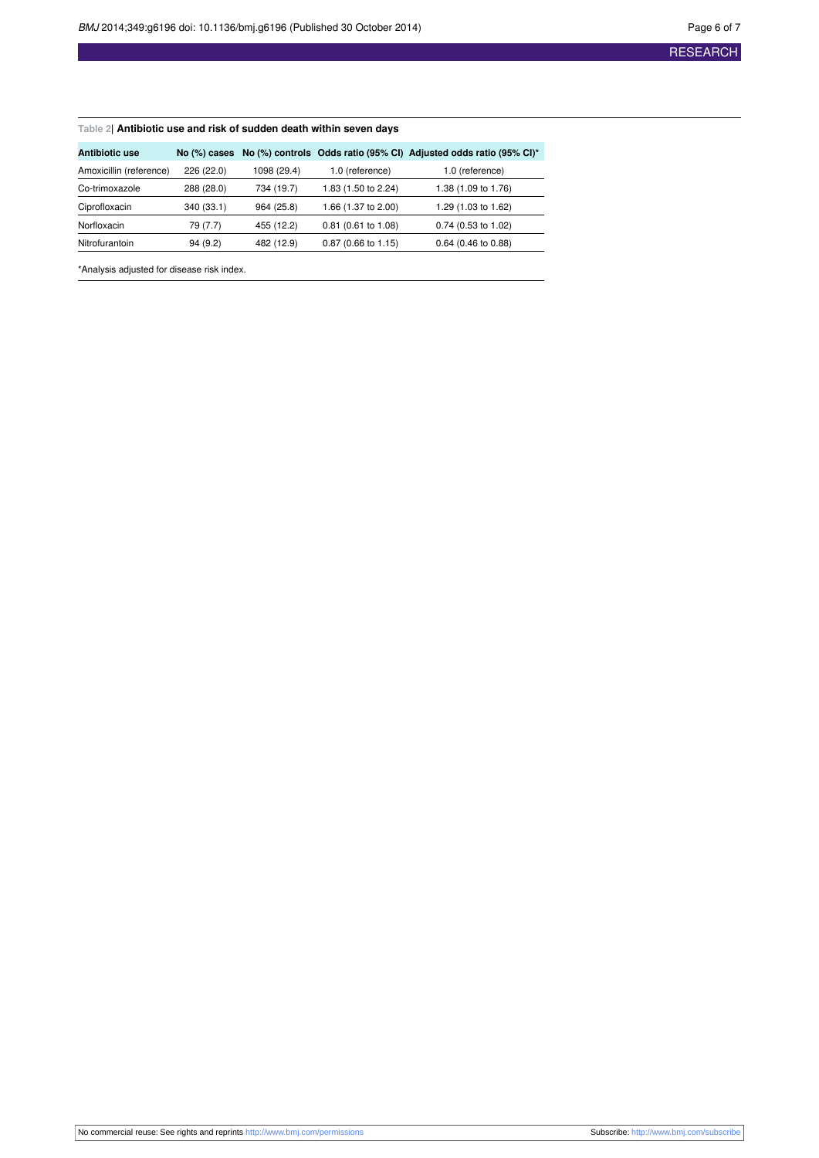#### <span id="page-5-0"></span>**Table 2| Antibiotic use and risk of sudden death within seven days**

| Antibiotic use          |            |             |                       | No (%) cases No (%) controls Odds ratio (95% CI) Adjusted odds ratio (95% CI)* |
|-------------------------|------------|-------------|-----------------------|--------------------------------------------------------------------------------|
| Amoxicillin (reference) | 226 (22.0) | 1098 (29.4) | 1.0 (reference)       | 1.0 (reference)                                                                |
| Co-trimoxazole          | 288 (28.0) | 734 (19.7)  | 1.83 (1.50 to 2.24)   | 1.38 (1.09 to 1.76)                                                            |
| Ciprofloxacin           | 340 (33.1) | 964 (25.8)  | 1.66 (1.37 to 2.00)   | 1.29 (1.03 to 1.62)                                                            |
| Norfloxacin             | 79 (7.7)   | 455 (12.2)  | $0.81$ (0.61 to 1.08) | $0.74$ (0.53 to 1.02)                                                          |
| Nitrofurantoin          | 94(9.2)    | 482 (12.9)  | $0.87$ (0.66 to 1.15) | $0.64$ (0.46 to 0.88)                                                          |

\*Analysis adjusted for disease risk index.